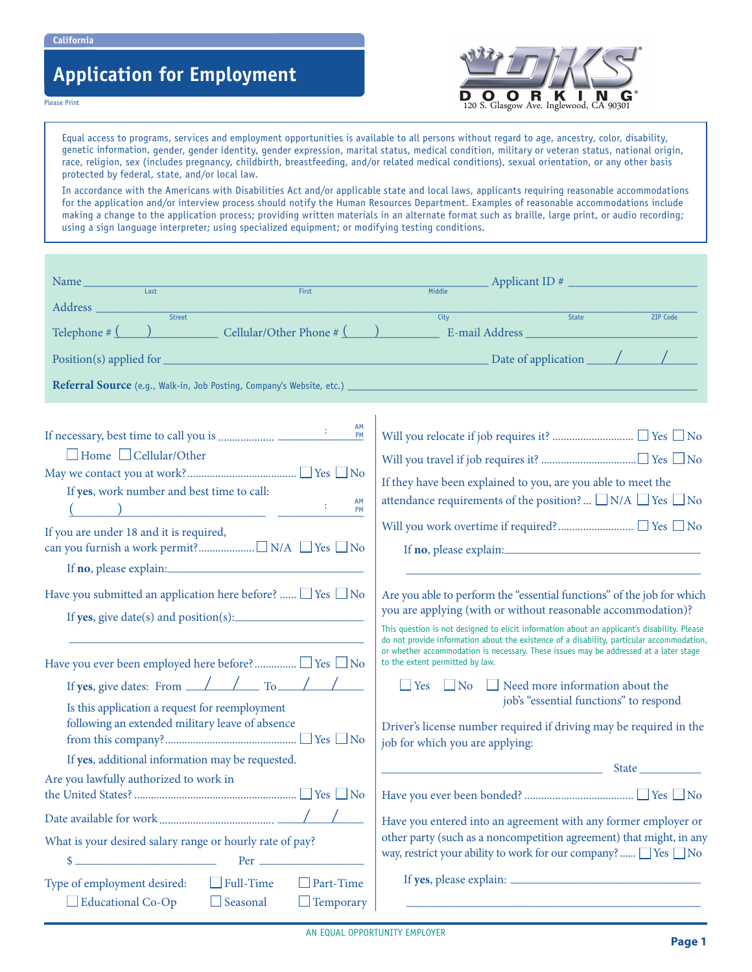**California**

Please Print

# **Application for Employment**



Equal access to programs, services and employment opportunities is available to all persons without regard to age, ancestry, color, disability, genetic information, gender, gender identity, gender expression, marital status, medical condition, military or veteran status, national origin, race, religion, sex (includes pregnancy, childbirth, breastfeeding, and/or related medical conditions), sexual orientation, or any other basis protected by federal, state, and/or local law.

In accordance with the Americans with Disabilities Act and/or applicable state and local laws, applicants requiring reasonable accommodations for the application and/or interview process should notify the Human Resources Department. Examples of reasonable accommodations include making a change to the application process; providing written materials in an alternate format such as braille, large print, or audio recording; using a sign language interpreter; using specialized equipment; or modifying testing conditions.

| Name<br>$\overline{Last}$<br>First                                                                                                                                                                                                                                         | Applicant ID #<br>Middle                                                                                                                                                                                                                                                                                                                                                                                                    |
|----------------------------------------------------------------------------------------------------------------------------------------------------------------------------------------------------------------------------------------------------------------------------|-----------------------------------------------------------------------------------------------------------------------------------------------------------------------------------------------------------------------------------------------------------------------------------------------------------------------------------------------------------------------------------------------------------------------------|
|                                                                                                                                                                                                                                                                            |                                                                                                                                                                                                                                                                                                                                                                                                                             |
| Street<br>$\text{Cellular/Other Phone} \# \text{ } (\text{)}$<br>Telephone $\#\underline{\text{(}}$                                                                                                                                                                        | City<br>State<br><b>ZIP Code</b>                                                                                                                                                                                                                                                                                                                                                                                            |
| Position(s) applied for<br><u> 1990 - Johann Barn, mars eta bainar eta bainar eta baina eta baina eta baina eta baina eta baina eta baina e</u>                                                                                                                            | Date of application $\sqrt{2\pi}$                                                                                                                                                                                                                                                                                                                                                                                           |
|                                                                                                                                                                                                                                                                            |                                                                                                                                                                                                                                                                                                                                                                                                                             |
| AM<br>PM<br>$\Box$ Home $\Box$ Cellular/Other<br>If yes, work number and best time to call:<br>AM<br><u>да (у продолжава продолжава продолжава продолжава продолжава продолжава продолжава продолжава продолжава прод</u><br>PM<br>If you are under 18 and it is required, | If they have been explained to you, are you able to meet the<br>attendance requirements of the position? $\Box N/A \Box Yes \Box No$                                                                                                                                                                                                                                                                                        |
| Have you submitted an application here before? $\Box$ Yes $\Box$ No<br>If $yes, give date(s) and position(s):$                                                                                                                                                             | Are you able to perform the "essential functions" of the job for which<br>you are applying (with or without reasonable accommodation)?<br>This question is not designed to elicit information about an applicant's disability. Please<br>do not provide information about the existence of a disability, particular accommodation,<br>or whether accommodation is necessary. These issues may be addressed at a later stage |
| Have you ever been employed here before?  □ Yes □ No<br>If yes, give dates: From $\angle$ / To / /<br>Is this application a request for reemployment<br>following an extended military leave of absence                                                                    | to the extent permitted by law.<br>$\Box$ Yes $\Box$ No $\Box$ Need more information about the<br>job's "essential functions" to respond<br>Driver's license number required if driving may be required in the<br>job for which you are applying:                                                                                                                                                                           |
| If yes, additional information may be requested.                                                                                                                                                                                                                           | <u>State</u>                                                                                                                                                                                                                                                                                                                                                                                                                |
| Are you lawfully authorized to work in                                                                                                                                                                                                                                     |                                                                                                                                                                                                                                                                                                                                                                                                                             |
|                                                                                                                                                                                                                                                                            | Have you entered into an agreement with any former employer or                                                                                                                                                                                                                                                                                                                                                              |
| What is your desired salary range or hourly rate of pay?<br>$\qquad \qquad \bullet$                                                                                                                                                                                        | other party (such as a noncompetition agreement) that might, in any<br>way, restrict your ability to work for our company?  TYes No                                                                                                                                                                                                                                                                                         |
| Type of employment desired:<br>$\Box$ Full-Time<br>$\Box$ Part-Time<br><b>Educational Co-Op</b><br>$\Box$ Seasonal<br>$\Box$ Temporary                                                                                                                                     |                                                                                                                                                                                                                                                                                                                                                                                                                             |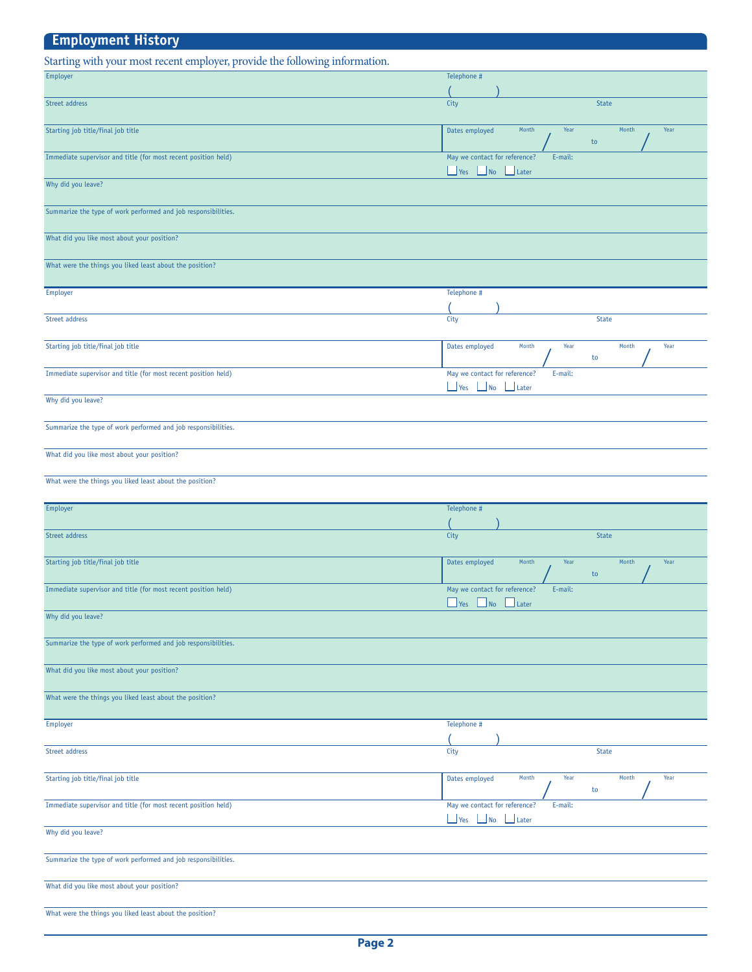| <b>Employment History</b>                                                   |                                                                                  |
|-----------------------------------------------------------------------------|----------------------------------------------------------------------------------|
| Starting with your most recent employer, provide the following information. |                                                                                  |
| Employer                                                                    | Telephone #                                                                      |
|                                                                             |                                                                                  |
| Street address                                                              | City<br><b>State</b>                                                             |
| Starting job title/final job title                                          | Month<br>Month<br>Dates employed<br>Year<br>Year<br>${\sf to}$                   |
| Immediate supervisor and title (for most recent position held)              | May we contact for reference?<br>E-mail:<br>$\Box$ Yes<br>$\Box$ No<br>$L$ Later |
| Why did you leave?                                                          |                                                                                  |
| Summarize the type of work performed and job responsibilities.              |                                                                                  |
| What did you like most about your position?                                 |                                                                                  |
| What were the things you liked least about the position?                    |                                                                                  |
| <b>Employer</b>                                                             | Telephone #                                                                      |
| Street address                                                              | City<br><b>State</b>                                                             |
| Starting job title/final job title                                          | Dates employed<br>Month<br>Year<br>Month<br>Year<br>to                           |
| Immediate supervisor and title (for most recent position held)              | May we contact for reference?<br>E-mail:<br>$\Box$ Yes<br>No Later               |
| Why did you leave?                                                          |                                                                                  |
| Summarize the type of work performed and job responsibilities.              |                                                                                  |
| What did you like most about your position?                                 |                                                                                  |
| What were the things you liked least about the position?                    |                                                                                  |
| Employer                                                                    | Telephone #                                                                      |
| Street address                                                              | City<br><b>State</b>                                                             |
| Starting job title/final job title                                          | Month<br>Year<br>Month<br>Year<br>Dates employed<br>to                           |
| Immediate supervisor and title (for most recent position held)              | May we contact for reference?<br>E-mail:<br>$\Box$ Yes<br>$\Box$ No<br>$L$ Later |
| Why did you leave?                                                          |                                                                                  |
| Summarize the type of work performed and job responsibilities.              |                                                                                  |
| What did you like most about your position?                                 |                                                                                  |
| What were the things you liked least about the position?                    |                                                                                  |
| Employer                                                                    | Telephone #                                                                      |
| Street address                                                              | <b>State</b><br>City                                                             |
| Starting job title/final job title                                          | Dates employed<br>Month<br>Year<br>Month<br>Year<br>to                           |
| Immediate supervisor and title (for most recent position held)              | May we contact for reference?<br>E-mail:<br>Yes No Later                         |
| Why did you leave?                                                          |                                                                                  |
| Summarize the type of work performed and job responsibilities.              |                                                                                  |
| What did you like most about your position?                                 |                                                                                  |
| What were the things you liked least about the position?                    |                                                                                  |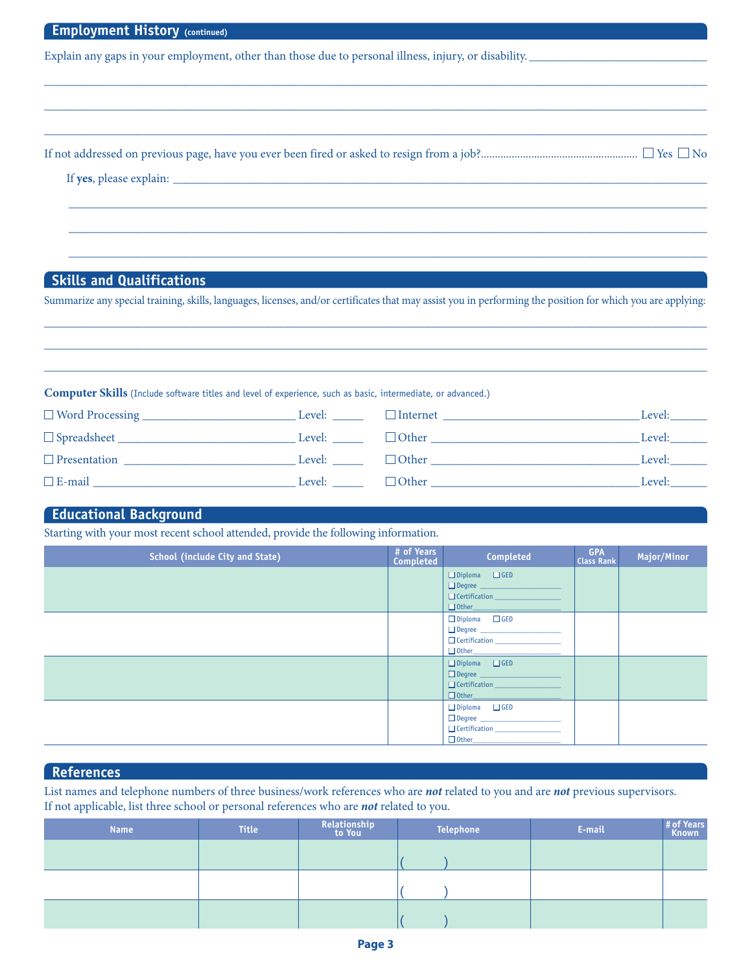| <b>EMPLOVMENT MISTORY</b> (continued)                                                                 |
|-------------------------------------------------------------------------------------------------------|
| Explain any gaps in your employment, other than those due to personal illness, injury, or disability. |
|                                                                                                       |
|                                                                                                       |
|                                                                                                       |
|                                                                                                       |
|                                                                                                       |
|                                                                                                       |
|                                                                                                       |
|                                                                                                       |
|                                                                                                       |
|                                                                                                       |
|                                                                                                       |
| <b>Skills and Qualifications</b>                                                                      |

Summarize any special training, skills, languages, licenses, and/or certificates that may assist you in performing the position for which you are applying: \_\_\_\_\_\_\_\_\_\_\_\_\_\_\_\_\_\_\_\_\_\_\_\_\_\_\_\_\_\_\_\_\_\_\_\_\_\_\_\_\_\_\_\_\_\_\_\_\_\_\_\_\_\_\_\_\_\_\_\_\_\_\_\_\_\_\_\_\_\_\_\_\_\_\_\_\_\_\_\_\_\_\_\_\_\_\_\_\_\_\_\_\_\_\_\_\_\_\_\_\_\_\_\_\_\_\_\_

\_\_\_\_\_\_\_\_\_\_\_\_\_\_\_\_\_\_\_\_\_\_\_\_\_\_\_\_\_\_\_\_\_\_\_\_\_\_\_\_\_\_\_\_\_\_\_\_\_\_\_\_\_\_\_\_\_\_\_\_\_\_\_\_\_\_\_\_\_\_\_\_\_\_\_\_\_\_\_\_\_\_\_\_\_\_\_\_\_\_\_\_\_\_\_\_\_\_\_\_\_\_\_\_\_\_\_\_ \_\_\_\_\_\_\_\_\_\_\_\_\_\_\_\_\_\_\_\_\_\_\_\_\_\_\_\_\_\_\_\_\_\_\_\_\_\_\_\_\_\_\_\_\_\_\_\_\_\_\_\_\_\_\_\_\_\_\_\_\_\_\_\_\_\_\_\_\_\_\_\_\_\_\_\_\_\_\_\_\_\_\_\_\_\_\_\_\_\_\_\_\_\_\_\_\_\_\_\_\_\_\_\_\_\_\_\_

**Computer Skills** (Include software titles and level of experience, such as basic, intermediate, or advanced.)

| $\Box$ Word Processing    | Level: | $\Box$ Internet | Level: |
|---------------------------|--------|-----------------|--------|
| $\Box$ Spreadsheet $\Box$ | Level: | $\Box$ Other    | Level: |
| $\Box$ Presentation       | Level: | $\Box$ Other    | Level: |
| $\Box$ E-mail             | Level: | $\Box$ Other    | Level: |

## **Educational Background**

**Employment History (continued)**

Starting with your most recent school attended, provide the following information.

| <b>School (include City and State)</b> | # of Years<br>Completed | Completed                                                                                                                                                                                                                                                                                                                                                                                                                                                                                                                                                                                                              | <b>GPA</b><br><b>Class Rank</b> | Major/Minor |
|----------------------------------------|-------------------------|------------------------------------------------------------------------------------------------------------------------------------------------------------------------------------------------------------------------------------------------------------------------------------------------------------------------------------------------------------------------------------------------------------------------------------------------------------------------------------------------------------------------------------------------------------------------------------------------------------------------|---------------------------------|-------------|
|                                        |                         | $\Box$ Diploma $\Box$ GED<br>Degree _____________________<br>$\begin{tabular}{ c c } \hline \rule{.4cm}{.4cm} \rule{.4cm}{.4cm} \rule{.4cm}{.4cm} \rule{.4cm}{.4cm} \rule{.4cm}{.4cm} \rule{.4cm}{.4cm} \rule{.4cm}{.4cm} \rule{.4cm}{.4cm} \rule{.4cm}{.4cm} \rule{.4cm}{.4cm} \rule{.4cm}{.4cm} \rule{.4cm}{.4cm} \rule{.4cm}{.4cm} \rule{.4cm}{.4cm} \rule{.4cm}{.4cm} \rule{.4cm}{.4cm} \rule{.4cm}{.4cm} \rule{.4cm}{.4cm} \rule{.4cm}{$<br>$\begin{tabular}{ c c c } \hline \quad \quad \quad & \quad \quad \quad & \quad \quad \quad \\ \hline \quad \quad & \quad \quad & \quad \quad \\ \hline \end{tabular}$ |                                 |             |
|                                        |                         | $\Box$ Diploma $\Box$ GED                                                                                                                                                                                                                                                                                                                                                                                                                                                                                                                                                                                              |                                 |             |
|                                        |                         | $\square$ Diploma $\square$ GED                                                                                                                                                                                                                                                                                                                                                                                                                                                                                                                                                                                        |                                 |             |
|                                        |                         | $\square$ Diploma $\square$ GED                                                                                                                                                                                                                                                                                                                                                                                                                                                                                                                                                                                        |                                 |             |

## **References**

List names and telephone numbers of three business/work references who are *not* related to you and are *not* previous supervisors. If not applicable, list three school or personal references who are *not* related to you.

| <b>Name</b> | <b>Title</b> | Relationship<br>to You | <b>Telephone</b> | E-mail | # of Years<br>Known |
|-------------|--------------|------------------------|------------------|--------|---------------------|
|             |              |                        |                  |        |                     |
|             |              |                        |                  |        |                     |
|             |              |                        |                  |        |                     |
|             |              |                        |                  |        |                     |
|             |              |                        |                  |        |                     |